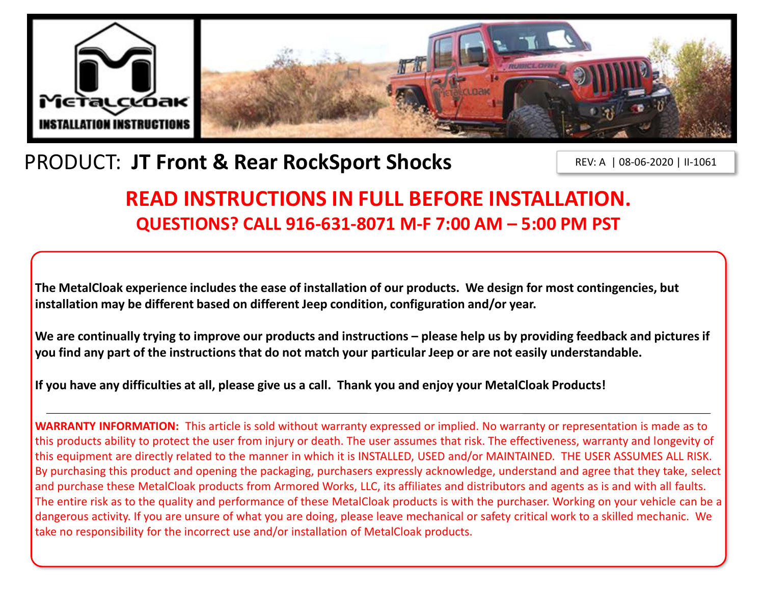

# PRODUCT: **JT Front & Rear RockSport Shocks**

REV: A | 08-06-2020 | II-1061

## **READ INSTRUCTIONS IN FULL BEFORE INSTALLATION. QUESTIONS? CALL 916-631-8071 M-F 7:00 AM – 5:00 PM PST**

**The MetalCloak experience includes the ease of installation of our products. We design for most contingencies, but installation may be different based on different Jeep condition, configuration and/or year.**

We are continually trying to improve our products and instructions – please help us by providing feedback and pictures if **you find any part of the instructions that do not match your particular Jeep or are not easily understandable.** 

**If you have any difficulties at all, please give us a call. Thank you and enjoy your MetalCloak Products!** 

**WARRANTY INFORMATION:** This article is sold without warranty expressed or implied. No warranty or representation is made as to this products ability to protect the user from injury or death. The user assumes that risk. The effectiveness, warranty and longevity of this equipment are directly related to the manner in which it is INSTALLED, USED and/or MAINTAINED. THE USER ASSUMES ALL RISK. By purchasing this product and opening the packaging, purchasers expressly acknowledge, understand and agree that they take, select and purchase these MetalCloak products from Armored Works, LLC, its affiliates and distributors and agents as is and with all faults. The entire risk as to the quality and performance of these MetalCloak products is with the purchaser. Working on your vehicle can be a dangerous activity. If you are unsure of what you are doing, please leave mechanical or safety critical work to a skilled mechanic. We take no responsibility for the incorrect use and/or installation of MetalCloak products.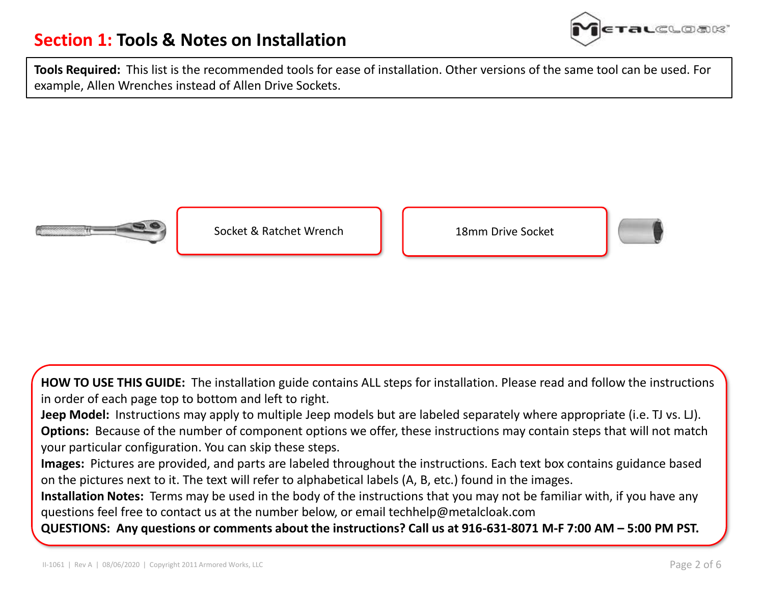### **Section 1: Tools & Notes on Installation**



**Tools Required:** This list is the recommended tools for ease of installation. Other versions of the same tool can be used. For example, Allen Wrenches instead of Allen Drive Sockets.



Socket & Ratchet Wrench 18mm Drive Socket





**HOW TO USE THIS GUIDE:** The installation guide contains ALL steps for installation. Please read and follow the instructions in order of each page top to bottom and left to right.

**Jeep Model:** Instructions may apply to multiple Jeep models but are labeled separately where appropriate (i.e. TJ vs. LJ). **Options:** Because of the number of component options we offer, these instructions may contain steps that will not match your particular configuration. You can skip these steps.

**Images:** Pictures are provided, and parts are labeled throughout the instructions. Each text box contains guidance based on the pictures next to it. The text will refer to alphabetical labels (A, B, etc.) found in the images.

**Installation Notes:** Terms may be used in the body of the instructions that you may not be familiar with, if you have any questions feel free to contact us at the number below, or email techhelp@metalcloak.com

**QUESTIONS: Any questions or comments about the instructions? Call us at 916-631-8071 M-F 7:00 AM – 5:00 PM PST.**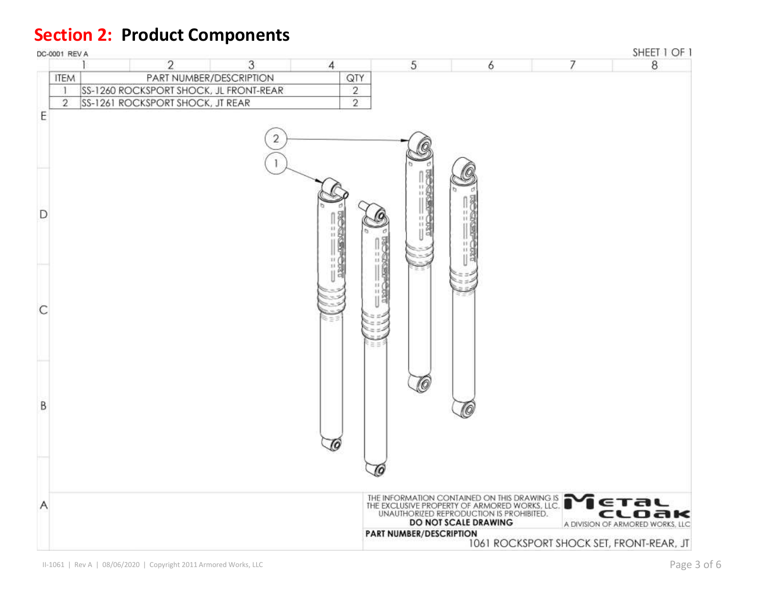### **Section 2: Product Components**

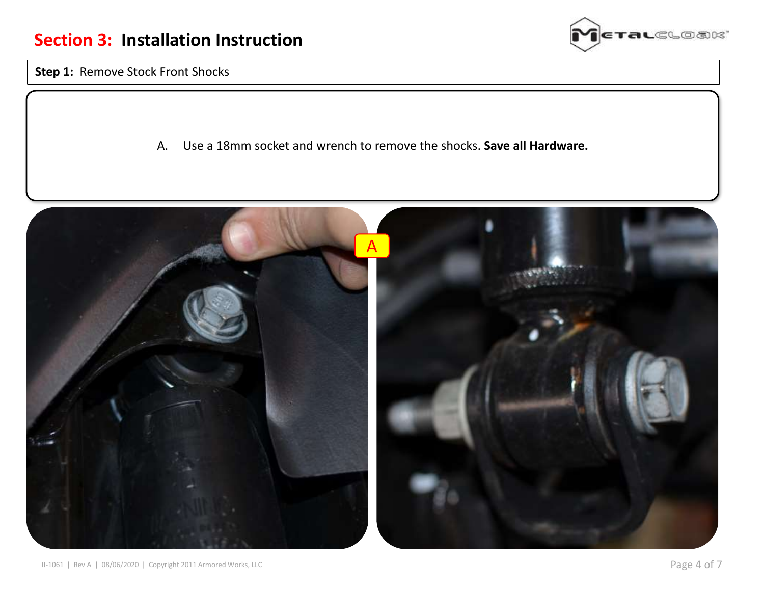

**Step 1:** Remove Stock Front Shocks

A. Use a 18mm socket and wrench to remove the shocks. **Save all Hardware.**

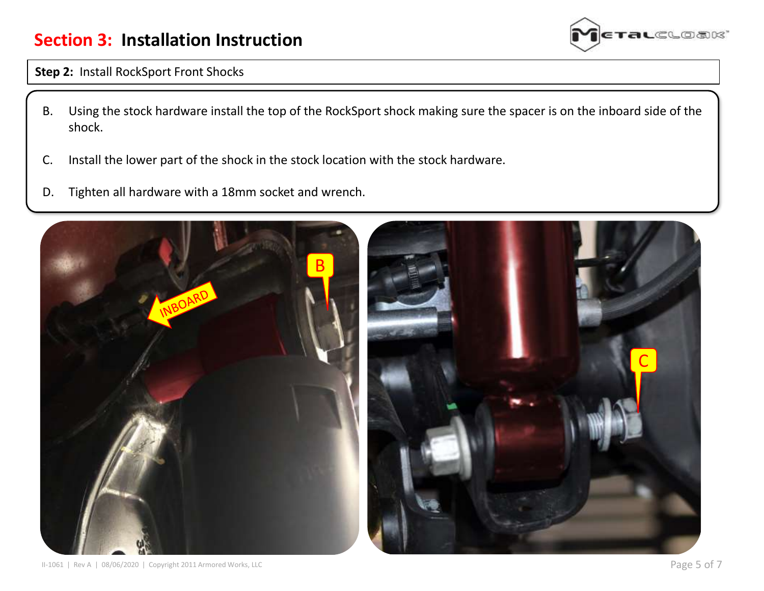### **Section 3: Installation Instruction**



#### **Step 2:** Install RockSport Front Shocks

- B. Using the stock hardware install the top of the RockSport shock making sure the spacer is on the inboard side of the shock.
- C. Install the lower part of the shock in the stock location with the stock hardware.
- D. Tighten all hardware with a 18mm socket and wrench.

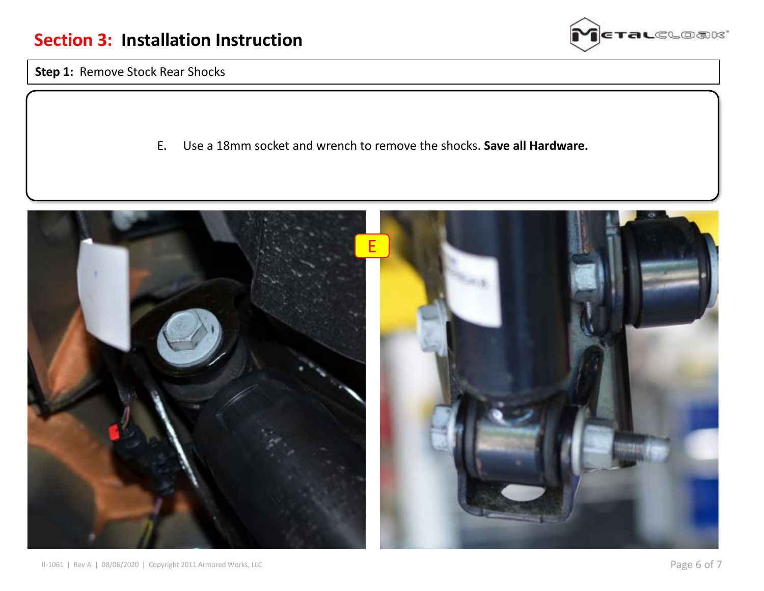

**Step 1:** Remove Stock Rear Shocks

E. Use a 18mm socket and wrench to remove the shocks. **Save all Hardware.**